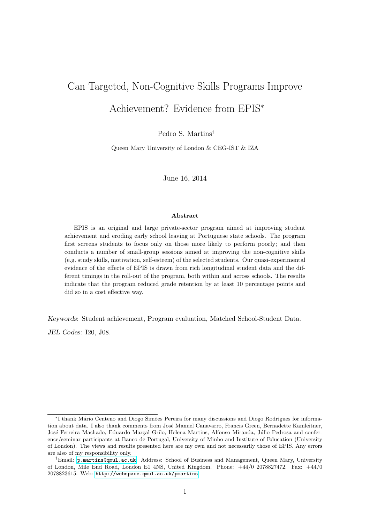# Can Targeted, Non-Cognitive Skills Programs Improve Achievement? Evidence from EPIS<sup>∗</sup>

Pedro S. Martins†

Queen Mary University of London & CEG-IST & IZA

June 16, 2014

#### Abstract

EPIS is an original and large private-sector program aimed at improving student achievement and eroding early school leaving at Portuguese state schools. The program first screens students to focus only on those more likely to perform poorly; and then conducts a number of small-group sessions aimed at improving the non-cognitive skills (e.g. study skills, motivation, self-esteem) of the selected students. Our quasi-experimental evidence of the effects of EPIS is drawn from rich longitudinal student data and the different timings in the roll-out of the program, both within and across schools. The results indicate that the program reduced grade retention by at least 10 percentage points and did so in a cost effective way.

Keywords: Student achievement, Program evaluation, Matched School-Student Data.

JEL Codes: I20, J08.

<sup>∗</sup> I thank M´ario Centeno and Diogo Sim˜oes Pereira for many discussions and Diogo Rodrigues for information about data. I also thank comments from José Manuel Canavarro, Francis Green, Bernadette Kamleitner, José Ferreira Machado, Eduardo Marcal Grilo, Helena Martins, Alfonso Miranda, Júlio Pedrosa and conference/seminar participants at Banco de Portugal, University of Minho and Institute of Education (University of London). The views and results presented here are my own and not necessarily those of EPIS. Any errors are also of my responsibility only.

<sup>†</sup>Email: [p.martins@qmul.ac.uk](mailto:p.martins@qmul.ac.uk). Address: School of Business and Management, Queen Mary, University of London, Mile End Road, London E1 4NS, United Kingdom. Phone: +44/0 2078827472. Fax: +44/0 2078823615. Web: <http://webspace.qmul.ac.uk/pmartins>.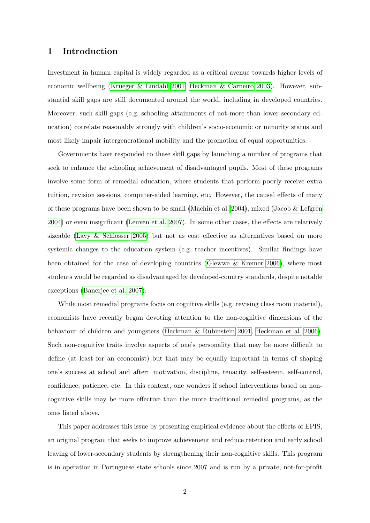# 1 Introduction

Investment in human capital is widely regarded as a critical avenue towards higher levels of economic wellbeing [\(Krueger & Lindahl 2001,](#page-18-0) [Heckman & Carneiro 2003\)](#page-18-1). However, substantial skill gaps are still documented around the world, including in developed countries. Moreover, such skill gaps (e.g. schooling attainments of not more than lower secondary education) correlate reasonably strongly with children's socio-economic or minority status and most likely impair intergenerational mobility and the promotion of equal opportunities.

Governments have responded to these skill gaps by launching a number of programs that seek to enhance the schooling achievement of disadvantaged pupils. Most of these programs involve some form of remedial education, where students that perform poorly receive extra tuition, revision sessions, computer-aided learning, etc. However, the causal effects of many of these programs have been shown to be small [\(Machin et al. 2004\)](#page-19-0), mixed [\(Jacob & Lefgren](#page-18-2) [2004\)](#page-18-2) or even insignficant [\(Leuven et al. 2007\)](#page-19-1). In some other cases, the effects are relatively sizeable [\(Lavy & Schlosser 2005\)](#page-19-2) but not as cost effective as alternatives based on more systemic changes to the education system (e.g. teacher incentives). Similar findings have been obtained for the case of developing countries [\(Glewwe & Kremer 2006\)](#page-18-3), where most students would be regarded as disadvantaged by developed-country standards, despite notable exceptions [\(Banerjee et al. 2007\)](#page-18-4).

While most remedial programs focus on cognitive skills (e.g. revising class room material), economists have recently began devoting attention to the non-cognitive dimensions of the behaviour of children and youngsters [\(Heckman & Rubinstein 2001,](#page-18-5) [Heckman et al. 2006\)](#page-18-6). Such non-cognitive traits involve aspects of one's personality that may be more difficult to define (at least for an economist) but that may be equally important in terms of shaping one's success at school and after: motivation, discipline, tenacity, self-esteem, self-control, confidence, patience, etc. In this context, one wonders if school interventions based on noncognitive skills may be more effective than the more traditional remedial programs, as the ones listed above.

This paper addresses this issue by presenting empirical evidence about the effects of EPIS, an original program that seeks to improve achievement and reduce retention and early school leaving of lower-secondary students by strengthening their non-cognitive skills. This program is in operation in Portuguese state schools since 2007 and is run by a private, not-for-profit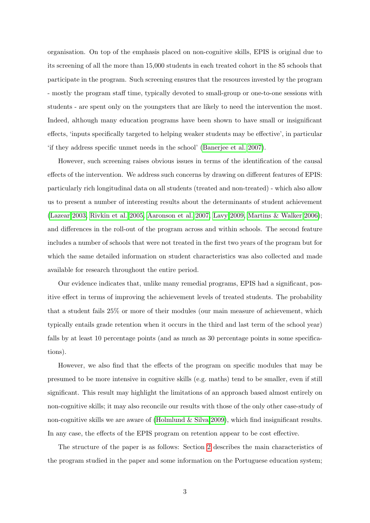organisation. On top of the emphasis placed on non-cognitive skills, EPIS is original due to its screening of all the more than 15,000 students in each treated cohort in the 85 schools that participate in the program. Such screening ensures that the resources invested by the program - mostly the program staff time, typically devoted to small-group or one-to-one sessions with students - are spent only on the youngsters that are likely to need the intervention the most. Indeed, although many education programs have been shown to have small or insignificant effects, 'inputs specifically targeted to helping weaker students may be effective', in particular 'if they address specific unmet needs in the school' [\(Banerjee et al. 2007\)](#page-18-4).

However, such screening raises obvious issues in terms of the identification of the causal effects of the intervention. We address such concerns by drawing on different features of EPIS: particularly rich longitudinal data on all students (treated and non-treated) - which also allow us to present a number of interesting results about the determinants of student achievement [\(Lazear 2003,](#page-19-3) [Rivkin et al. 2005,](#page-19-4) [Aaronson et al. 2007,](#page-18-7) [Lavy 2009,](#page-19-5) [Martins & Walker 2006\)](#page-19-6); and differences in the roll-out of the program across and within schools. The second feature includes a number of schools that were not treated in the first two years of the program but for which the same detailed information on student characteristics was also collected and made available for research throughout the entire period.

Our evidence indicates that, unlike many remedial programs, EPIS had a significant, positive effect in terms of improving the achievement levels of treated students. The probability that a student fails 25% or more of their modules (our main measure of achievement, which typically entails grade retention when it occurs in the third and last term of the school year) falls by at least 10 percentage points (and as much as 30 percentage points in some specifications).

However, we also find that the effects of the program on specific modules that may be presumed to be more intensive in cognitive skills (e.g. maths) tend to be smaller, even if still significant. This result may highlight the limitations of an approach based almost entirely on non-cognitive skills; it may also reconcile our results with those of the only other case-study of non-cognitive skills we are aware of [\(Holmlund & Silva 2009\)](#page-18-8), which find insignificant results. In any case, the effects of the EPIS program on retention appear to be cost effective.

The structure of the paper is as follows: Section [2](#page-3-0) describes the main characteristics of the program studied in the paper and some information on the Portuguese education system;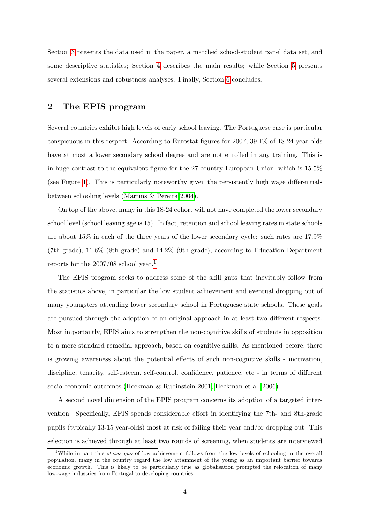Section [3](#page-6-0) presents the data used in the paper, a matched school-student panel data set, and some descriptive statistics; Section [4](#page-9-0) describes the main results; while Section [5](#page-14-0) presents several extensions and robustness analyses. Finally, Section [6](#page-17-0) concludes.

# <span id="page-3-0"></span>2 The EPIS program

Several countries exhibit high levels of early school leaving. The Portuguese case is particular conspicuous in this respect. According to Eurostat figures for 2007, 39.1% of 18-24 year olds have at most a lower secondary school degree and are not enrolled in any training. This is in huge contrast to the equivalent figure for the 27-country European Union, which is 15.5% (see Figure [1\)](#page-20-0). This is particularly noteworthy given the persistently high wage differentials between schooling levels [\(Martins & Pereira 2004\)](#page-19-7).

On top of the above, many in this 18-24 cohort will not have completed the lower secondary school level (school leaving age is 15). In fact, retention and school leaving rates in state schools are about 15% in each of the three years of the lower secondary cycle: such rates are 17.9% (7th grade), 11.6% (8th grade) and 14.2% (9th grade), according to Education Department reports for the  $2007/08$  school year.<sup>[1](#page-3-1)</sup>

The EPIS program seeks to address some of the skill gaps that inevitably follow from the statistics above, in particular the low student achievement and eventual dropping out of many youngsters attending lower secondary school in Portuguese state schools. These goals are pursued through the adoption of an original approach in at least two different respects. Most importantly, EPIS aims to strengthen the non-cognitive skills of students in opposition to a more standard remedial approach, based on cognitive skills. As mentioned before, there is growing awareness about the potential effects of such non-cognitive skills - motivation, discipline, tenacity, self-esteem, self-control, confidence, patience, etc - in terms of different socio-economic outcomes [\(Heckman & Rubinstein 2001,](#page-18-5) [Heckman et al. 2006\)](#page-18-6).

A second novel dimension of the EPIS program concerns its adoption of a targeted intervention. Specifically, EPIS spends considerable effort in identifying the 7th- and 8th-grade pupils (typically 13-15 year-olds) most at risk of failing their year and/or dropping out. This selection is achieved through at least two rounds of screening, when students are interviewed

<span id="page-3-1"></span><sup>&</sup>lt;sup>1</sup>While in part this *status quo* of low achievement follows from the low levels of schooling in the overall population, many in the country regard the low attainment of the young as an important barrier towards economic growth. This is likely to be particularly true as globalisation prompted the relocation of many low-wage industries from Portugal to developing countries.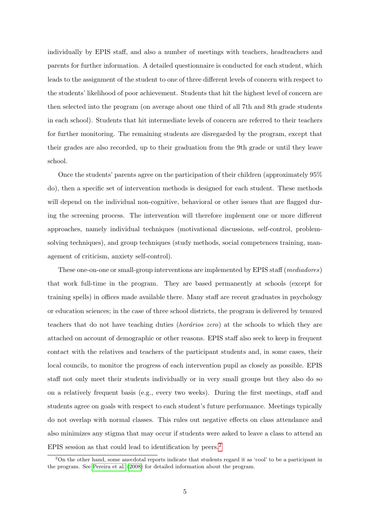individually by EPIS staff, and also a number of meetings with teachers, headteachers and parents for further information. A detailed questionnaire is conducted for each student, which leads to the assignment of the student to one of three different levels of concern with respect to the students' likelihood of poor achievement. Students that hit the highest level of concern are then selected into the program (on average about one third of all 7th and 8th grade students in each school). Students that hit intermediate levels of concern are referred to their teachers for further monitoring. The remaining students are disregarded by the program, except that their grades are also recorded, up to their graduation from the 9th grade or until they leave school.

Once the students' parents agree on the participation of their children (approximately 95% do), then a specific set of intervention methods is designed for each student. These methods will depend on the individual non-cognitive, behavioral or other issues that are flagged during the screening process. The intervention will therefore implement one or more different approaches, namely individual techniques (motivational discussions, self-control, problemsolving techniques), and group techniques (study methods, social competences training, management of criticism, anxiety self-control).

These one-on-one or small-group interventions are implemented by EPIS staff (mediadores) that work full-time in the program. They are based permanently at schools (except for training spells) in offices made available there. Many staff are recent graduates in psychology or education sciences; in the case of three school districts, the program is delivered by tenured teachers that do not have teaching duties *(horários zero)* at the schools to which they are attached on account of demographic or other reasons. EPIS staff also seek to keep in frequent contact with the relatives and teachers of the participant students and, in some cases, their local councils, to monitor the progress of each intervention pupil as closely as possible. EPIS staff not only meet their students individually or in very small groups but they also do so on a relatively frequent basis (e.g., every two weeks). During the first meetings, staff and students agree on goals with respect to each student's future performance. Meetings typically do not overlap with normal classes. This rules out negative effects on class attendance and also minimizes any stigma that may occur if students were asked to leave a class to attend an EPIS session as that could lead to identification by peers.[2](#page-4-0)

<span id="page-4-0"></span><sup>&</sup>lt;sup>2</sup>On the other hand, some anecdotal reports indicate that students regard it as 'cool' to be a participant in the program. See [Pereira et al.](#page-19-8) [\(2008\)](#page-19-8) for detailed information about the program.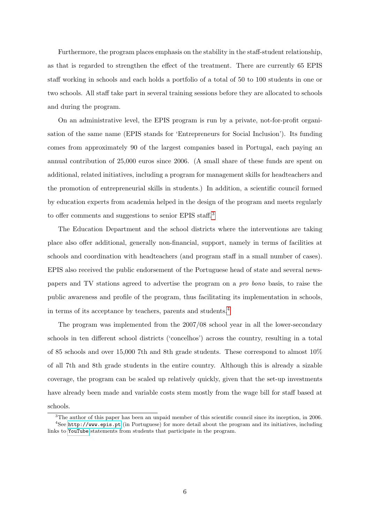Furthermore, the program places emphasis on the stability in the staff-student relationship, as that is regarded to strengthen the effect of the treatment. There are currently 65 EPIS staff working in schools and each holds a portfolio of a total of 50 to 100 students in one or two schools. All staff take part in several training sessions before they are allocated to schools and during the program.

On an administrative level, the EPIS program is run by a private, not-for-profit organisation of the same name (EPIS stands for 'Entrepreneurs for Social Inclusion'). Its funding comes from approximately 90 of the largest companies based in Portugal, each paying an annual contribution of 25,000 euros since 2006. (A small share of these funds are spent on additional, related initiatives, including a program for management skills for headteachers and the promotion of entrepreneurial skills in students.) In addition, a scientific council formed by education experts from academia helped in the design of the program and meets regularly to offer comments and suggestions to senior EPIS staff.<sup>[3](#page-5-0)</sup>

The Education Department and the school districts where the interventions are taking place also offer additional, generally non-financial, support, namely in terms of facilities at schools and coordination with headteachers (and program staff in a small number of cases). EPIS also received the public endorsement of the Portuguese head of state and several newspapers and TV stations agreed to advertise the program on a pro bono basis, to raise the public awareness and profile of the program, thus facilitating its implementation in schools, in terms of its acceptance by teachers, parents and students.[4](#page-5-1)

The program was implemented from the 2007/08 school year in all the lower-secondary schools in ten different school districts ('concelhos') across the country, resulting in a total of 85 schools and over 15,000 7th and 8th grade students. These correspond to almost 10% of all 7th and 8th grade students in the entire country. Although this is already a sizable coverage, the program can be scaled up relatively quickly, given that the set-up investments have already been made and variable costs stem mostly from the wage bill for staff based at schools.

<span id="page-5-1"></span><span id="page-5-0"></span><sup>&</sup>lt;sup>3</sup>The author of this paper has been an unpaid member of this scientific council since its inception, in 2006. <sup>4</sup>See <http://www.epis.pt> (in Portuguese) for more detail about the program and its initiatives, including links to [YouTube](http://www.youtube.com/watch?v=nuY2N8Vw-zw) statements from students that participate in the program.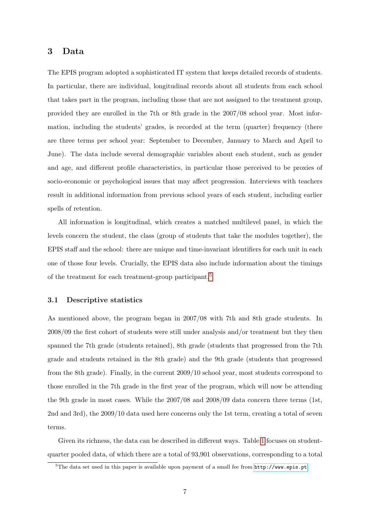# <span id="page-6-0"></span>3 Data

The EPIS program adopted a sophisticated IT system that keeps detailed records of students. In particular, there are individual, longitudinal records about all students from each school that takes part in the program, including those that are not assigned to the treatment group, provided they are enrolled in the 7th or 8th grade in the 2007/08 school year. Most information, including the students' grades, is recorded at the term (quarter) frequency (there are three terms per school year: September to December, January to March and April to June). The data include several demographic variables about each student, such as gender and age, and different profile characteristics, in particular those perceived to be proxies of socio-economic or psychological issues that may affect progression. Interviews with teachers result in additional information from previous school years of each student, including earlier spells of retention.

All information is longitudinal, which creates a matched multilevel panel, in which the levels concern the student, the class (group of students that take the modules together), the EPIS staff and the school: there are unique and time-invariant identifiers for each unit in each one of those four levels. Crucially, the EPIS data also include information about the timings of the treatment for each treatment-group participant.<sup>[5](#page-6-1)</sup>

#### <span id="page-6-2"></span>3.1 Descriptive statistics

As mentioned above, the program began in 2007/08 with 7th and 8th grade students. In 2008/09 the first cohort of students were still under analysis and/or treatment but they then spanned the 7th grade (students retained), 8th grade (students that progressed from the 7th grade and students retained in the 8th grade) and the 9th grade (students that progressed from the 8th grade). Finally, in the current 2009/10 school year, most students correspond to those enrolled in the 7th grade in the first year of the program, which will now be attending the 9th grade in most cases. While the 2007/08 and 2008/09 data concern three terms (1st, 2nd and 3rd), the 2009/10 data used here concerns only the 1st term, creating a total of seven terms.

Given its richness, the data can be described in different ways. Table [1](#page-25-0) focuses on studentquarter pooled data, of which there are a total of 93,901 observations, corresponding to a total

<span id="page-6-1"></span> $5$ The data set used in this paper is available upon payment of a small fee from  $http://www.epis pt.$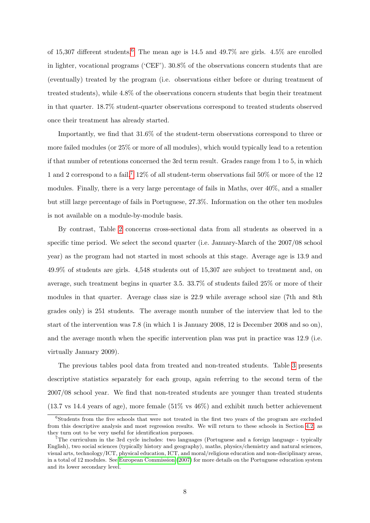of 15,307 different students.<sup>[6](#page-7-0)</sup> The mean age is 14.5 and 49.7% are girls. 4.5% are enrolled in lighter, vocational programs ('CEF'). 30.8% of the observations concern students that are (eventually) treated by the program (i.e. observations either before or during treatment of treated students), while 4.8% of the observations concern students that begin their treatment in that quarter. 18.7% student-quarter observations correspond to treated students observed once their treatment has already started.

Importantly, we find that 31.6% of the student-term observations correspond to three or more failed modules (or 25% or more of all modules), which would typically lead to a retention if that number of retentions concerned the 3rd term result. Grades range from 1 to 5, in which 1 and 2 correspond to a fail.<sup>[7](#page-7-1)</sup> 12% of all student-term observations fail 50% or more of the 12 modules. Finally, there is a very large percentage of fails in Maths, over 40%, and a smaller but still large percentage of fails in Portuguese, 27.3%. Information on the other ten modules is not available on a module-by-module basis.

By contrast, Table [2](#page-26-0) concerns cross-sectional data from all students as observed in a specific time period. We select the second quarter (i.e. January-March of the 2007/08 school year) as the program had not started in most schools at this stage. Average age is 13.9 and 49.9% of students are girls. 4,548 students out of 15,307 are subject to treatment and, on average, such treatment begins in quarter 3.5. 33.7% of students failed 25% or more of their modules in that quarter. Average class size is 22.9 while average school size (7th and 8th grades only) is 251 students. The average month number of the interview that led to the start of the intervention was 7.8 (in which 1 is January 2008, 12 is December 2008 and so on), and the average month when the specific intervention plan was put in practice was 12.9 (i.e. virtually January 2009).

The previous tables pool data from treated and non-treated students. Table [3](#page-27-0) presents descriptive statistics separately for each group, again referring to the second term of the 2007/08 school year. We find that non-treated students are younger than treated students (13.7 vs 14.4 years of age), more female (51% vs 46%) and exhibit much better achievement

<span id="page-7-0"></span><sup>6</sup>Students from the five schools that were not treated in the first two years of the program are excluded from this descriptive analysis and most regression results. We will return to these schools in Section [4.2,](#page-13-0) as they turn out to be very useful for identification purposes.

<span id="page-7-1"></span><sup>7</sup>The curriculum in the 3rd cycle includes: two languages (Portuguese and a foreign language - typically English), two social sciences (typically history and geography), maths, physics/chemistry and natural sciences, visual arts, technology/ICT, physical education, ICT, and moral/religious education and non-disciplinary areas, in a total of 12 modules. See [European Commission](#page-18-9) [\(2007\)](#page-18-9) for more details on the Portuguese education system and its lower secondary level.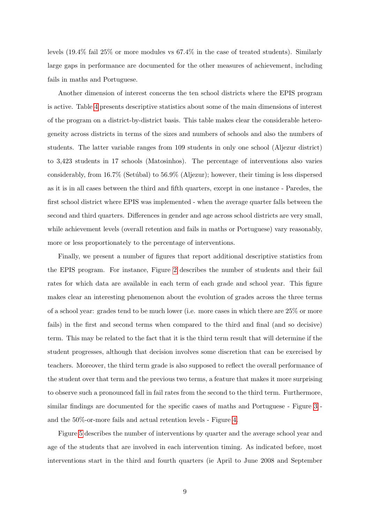levels (19.4% fail 25% or more modules vs 67.4% in the case of treated students). Similarly large gaps in performance are documented for the other measures of achievement, including fails in maths and Portuguese.

Another dimension of interest concerns the ten school districts where the EPIS program is active. Table [4](#page-28-0) presents descriptive statistics about some of the main dimensions of interest of the program on a district-by-district basis. This table makes clear the considerable heterogeneity across districts in terms of the sizes and numbers of schools and also the numbers of students. The latter variable ranges from 109 students in only one school (Aljezur district) to 3,423 students in 17 schools (Matosinhos). The percentage of interventions also varies considerably, from  $16.7\%$  (Setúbal) to  $56.9\%$  (Aljezur); however, their timing is less dispersed as it is in all cases between the third and fifth quarters, except in one instance - Paredes, the first school district where EPIS was implemented - when the average quarter falls between the second and third quarters. Differences in gender and age across school districts are very small, while achievement levels (overall retention and fails in maths or Portuguese) vary reasonably, more or less proportionately to the percentage of interventions.

Finally, we present a number of figures that report additional descriptive statistics from the EPIS program. For instance, Figure [2](#page-21-0) describes the number of students and their fail rates for which data are available in each term of each grade and school year. This figure makes clear an interesting phenomenon about the evolution of grades across the three terms of a school year: grades tend to be much lower (i.e. more cases in which there are 25% or more fails) in the first and second terms when compared to the third and final (and so decisive) term. This may be related to the fact that it is the third term result that will determine if the student progresses, although that decision involves some discretion that can be exercised by teachers. Moreover, the third term grade is also supposed to reflect the overall performance of the student over that term and the previous two terms, a feature that makes it more surprising to observe such a pronounced fall in fail rates from the second to the third term. Furthermore, similar findings are documented for the specific cases of maths and Portuguese - Figure [3](#page-22-0) and the 50%-or-more fails and actual retention levels - Figure [4.](#page-23-0)

Figure [5](#page-24-0) describes the number of interventions by quarter and the average school year and age of the students that are involved in each intervention timing. As indicated before, most interventions start in the third and fourth quarters (ie April to June 2008 and September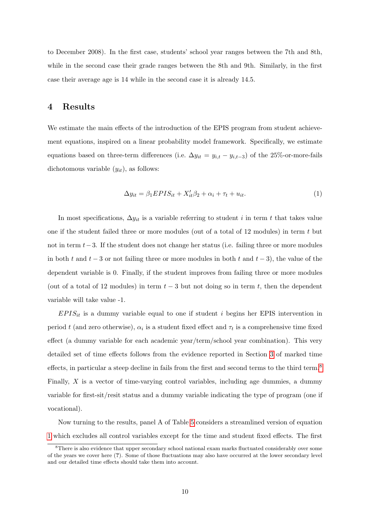to December 2008). In the first case, students' school year ranges between the 7th and 8th, while in the second case their grade ranges between the 8th and 9th. Similarly, in the first case their average age is 14 while in the second case it is already 14.5.

# <span id="page-9-0"></span>4 Results

We estimate the main effects of the introduction of the EPIS program from student achievement equations, inspired on a linear probability model framework. Specifically, we estimate equations based on three-term differences (i.e.  $\Delta y_{it} = y_{i,t} - y_{i,t-3}$ ) of the 25%-or-more-fails dichotomous variable  $(y_{it})$ , as follows:

<span id="page-9-2"></span>
$$
\Delta y_{it} = \beta_1 EPIS_{it} + X_{it}'\beta_2 + \alpha_i + \tau_t + u_{it}. \tag{1}
$$

In most specifications,  $\Delta y_{it}$  is a variable referring to student *i* in term *t* that takes value one if the student failed three or more modules (out of a total of 12 modules) in term t but not in term t−3. If the student does not change her status (i.e. failing three or more modules in both t and  $t-3$  or not failing three or more modules in both t and  $t-3$ ), the value of the dependent variable is 0. Finally, if the student improves from failing three or more modules (out of a total of 12 modules) in term  $t - 3$  but not doing so in term t, then the dependent variable will take value -1.

 $EPIS_{it}$  is a dummy variable equal to one if student i begins her EPIS intervention in period t (and zero otherwise),  $\alpha_i$  is a student fixed effect and  $\tau_t$  is a comprehensive time fixed effect (a dummy variable for each academic year/term/school year combination). This very detailed set of time effects follows from the evidence reported in Section [3](#page-6-0) of marked time effects, in particular a steep decline in fails from the first and second terms to the third term.<sup>[8](#page-9-1)</sup> Finally,  $X$  is a vector of time-varying control variables, including age dummies, a dummy variable for first-sit/resit status and a dummy variable indicating the type of program (one if vocational).

Now turning to the results, panel A of Table [5](#page-29-0) considers a streamlined version of equation [1](#page-9-2) which excludes all control variables except for the time and student fixed effects. The first

<span id="page-9-1"></span><sup>&</sup>lt;sup>8</sup>There is also evidence that upper secondary school national exam marks fluctuated considerably over some of the years we cover here (?). Some of those fluctuations may also have occurred at the lower secondary level and our detailed time effects should take them into account.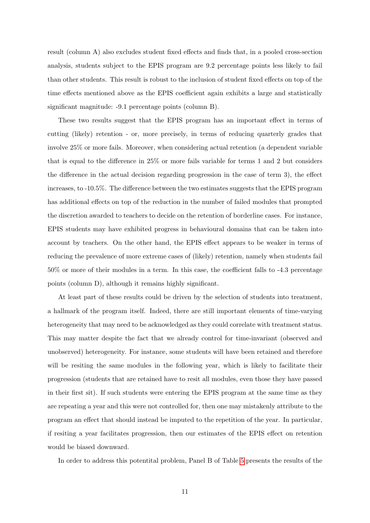result (column A) also excludes student fixed effects and finds that, in a pooled cross-section analysis, students subject to the EPIS program are 9.2 percentage points less likely to fail than other students. This result is robust to the inclusion of student fixed effects on top of the time effects mentioned above as the EPIS coefficient again exhibits a large and statistically significant magnitude: -9.1 percentage points (column B).

These two results suggest that the EPIS program has an important effect in terms of cutting (likely) retention - or, more precisely, in terms of reducing quarterly grades that involve 25% or more fails. Moreover, when considering actual retention (a dependent variable that is equal to the difference in 25% or more fails variable for terms 1 and 2 but considers the difference in the actual decision regarding progression in the case of term 3), the effect increases, to -10.5%. The difference between the two estimates suggests that the EPIS program has additional effects on top of the reduction in the number of failed modules that prompted the discretion awarded to teachers to decide on the retention of borderline cases. For instance, EPIS students may have exhibited progress in behavioural domains that can be taken into account by teachers. On the other hand, the EPIS effect appears to be weaker in terms of reducing the prevalence of more extreme cases of (likely) retention, namely when students fail 50% or more of their modules in a term. In this case, the coefficient falls to -4.3 percentage points (column D), although it remains highly significant.

At least part of these results could be driven by the selection of students into treatment, a hallmark of the program itself. Indeed, there are still important elements of time-varying heterogeneity that may need to be acknowledged as they could correlate with treatment status. This may matter despite the fact that we already control for time-invariant (observed and unobserved) heterogeneity. For instance, some students will have been retained and therefore will be resiting the same modules in the following year, which is likely to facilitate their progression (students that are retained have to resit all modules, even those they have passed in their first sit). If such students were entering the EPIS program at the same time as they are repeating a year and this were not controlled for, then one may mistakenly attribute to the program an effect that should instead be imputed to the repetition of the year. In particular, if resiting a year facilitates progression, then our estimates of the EPIS effect on retention would be biased downward.

In order to address this potentital problem, Panel B of Table [5](#page-29-0) presents the results of the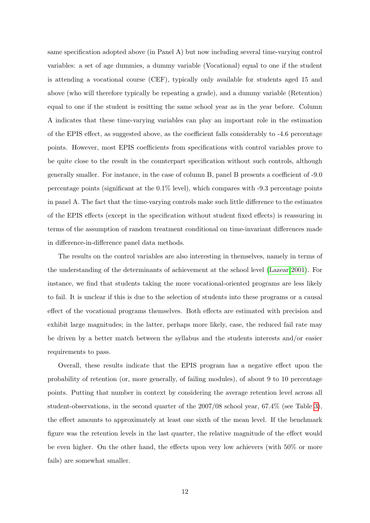same specification adopted above (in Panel A) but now including several time-varying control variables: a set of age dummies, a dummy variable (Vocational) equal to one if the student is attending a vocational course (CEF), typically only available for students aged 15 and above (who will therefore typically be repeating a grade), and a dummy variable (Retention) equal to one if the student is resitting the same school year as in the year before. Column A indicates that these time-varying variables can play an important role in the estimation of the EPIS effect, as suggested above, as the coefficient falls considerably to -4.6 percentage points. However, most EPIS coefficients from specifications with control variables prove to be quite close to the result in the counterpart specification without such controls, although generally smaller. For instance, in the case of column B, panel B presents a coefficient of -9.0 percentage points (significant at the 0.1% level), which compares with -9.3 percentage points in panel A. The fact that the time-varying controls make such little difference to the estimates of the EPIS effects (except in the specification without student fixed effects) is reassuring in terms of the assumption of random treatment conditional on time-invariant differences made in difference-in-difference panel data methods.

The results on the control variables are also interesting in themselves, namely in terms of the understanding of the determinants of achievement at the school level [\(Lazear 2001\)](#page-19-9). For instance, we find that students taking the more vocational-oriented programs are less likely to fail. It is unclear if this is due to the selection of students into these programs or a causal effect of the vocational programs themselves. Both effects are estimated with precision and exhibit large magnitudes; in the latter, perhaps more likely, case, the reduced fail rate may be driven by a better match between the syllabus and the students interests and/or easier requirements to pass.

Overall, these results indicate that the EPIS program has a negative effect upon the probability of retention (or, more generally, of failing modules), of about 9 to 10 percentage points. Putting that number in context by considering the average retention level across all student-observations, in the second quarter of the 2007/08 school year, 67.4% (see Table [3\)](#page-27-0), the effect amounts to approximately at least one sixth of the mean level. If the benchmark figure was the retention levels in the last quarter, the relative magnitude of the effect would be even higher. On the other hand, the effects upon very low achievers (with 50% or more fails) are somewhat smaller.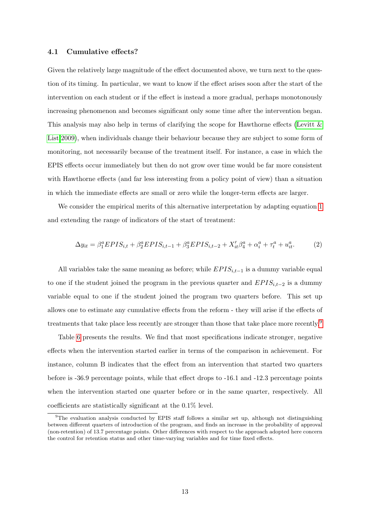#### 4.1 Cumulative effects?

Given the relatively large magnitude of the effect documented above, we turn next to the question of its timing. In particular, we want to know if the effect arises soon after the start of the intervention on each student or if the effect is instead a more gradual, perhaps monotonously increasing phenomenon and becomes significant only some time after the intervention began. This analysis may also help in terms of clarifying the scope for Hawthorne effects (Levitt  $\&$ [List 2009\)](#page-19-10), when individuals change their behaviour because they are subject to some form of monitoring, not necessarily because of the treatment itself. For instance, a case in which the EPIS effects occur immediately but then do not grow over time would be far more consistent with Hawthorne effects (and far less interesting from a policy point of view) than a situation in which the immediate effects are small or zero while the longer-term effects are larger.

We consider the empirical merits of this alternative interpretation by adapting equation [1](#page-9-2) and extending the range of indicators of the start of treatment:

$$
\Delta y_{it} = \beta_1^a EPIS_{i,t} + \beta_2^a EPIS_{i,t-1} + \beta_3^a EPIS_{i,t-2} + X_{it}'\beta_4^a + \alpha_i^a + \tau_t^a + u_{it}^a. \tag{2}
$$

All variables take the same meaning as before; while  $EPIS_{i,t-1}$  is a dummy variable equal to one if the student joined the program in the previous quarter and  $EPIS_{i,t-2}$  is a dummy variable equal to one if the student joined the program two quarters before. This set up allows one to estimate any cumulative effects from the reform - they will arise if the effects of treatments that take place less recently are stronger than those that take place more recently.<sup>[9](#page-12-0)</sup>

Table [6](#page-30-0) presents the results. We find that most specifications indicate stronger, negative effects when the intervention started earlier in terms of the comparison in achievement. For instance, column B indicates that the effect from an intervention that started two quarters before is -36.9 percentage points, while that effect drops to -16.1 and -12.3 percentage points when the intervention started one quarter before or in the same quarter, respectively. All coefficients are statistically significant at the 0.1% level.

<span id="page-12-0"></span><sup>&</sup>lt;sup>9</sup>The evaluation analysis conducted by EPIS staff follows a similar set up, although not distinguishing between different quarters of introduction of the program, and finds an increase in the probability of approval (non-retention) of 13.7 percentage points. Other differences with respect to the approach adopted here concern the control for retention status and other time-varying variables and for time fixed effects.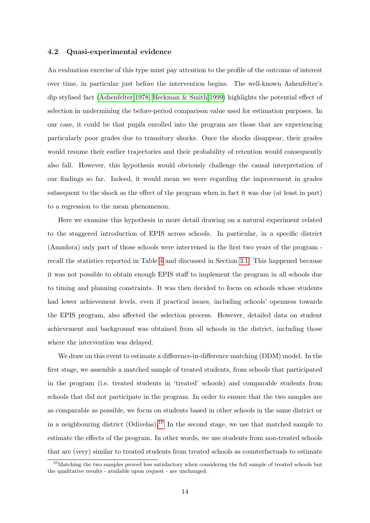#### <span id="page-13-0"></span>4.2 Quasi-experimental evidence

An evaluation exercise of this type must pay attention to the profile of the outcome of interest over time, in particular just before the intervention begins. The well-known Ashenfelter's dip stylised fact [\(Ashenfelter 1978,](#page-18-10) [Heckman & Smith 1999\)](#page-18-11) highlights the potential effect of selection in undermining the before-period comparison value used for estimation purposes. In our case, it could be that pupils enrolled into the program are those that are experiencing particularly poor grades due to transitory shocks. Once the shocks disappear, their grades would resume their earlier trajectories and their probability of retention would consequently also fall. However, this hypothesis would obviously challenge the causal interpretation of our findings so far. Indeed, it would mean we were regarding the improvement in grades subsequent to the shock as the effect of the program when in fact it was due (at least in part) to a regression to the mean phenomenon.

Here we examine this hypothesis in more detail drawing on a natural experiment related to the staggered introduction of EPIS across schools. In particular, in a specific district (Amadora) only part of those schools were intervened in the first two years of the program recall the statistics reported in Table [4](#page-28-0) and discussed in Section [3.1.](#page-6-2) This happened because it was not possible to obtain enough EPIS staff to implement the program in all schools due to timing and planning constraints. It was then decided to focus on schools whose students had lower achievement levels, even if practical issues, including schools' openness towards the EPIS program, also affected the selection process. However, detailed data on student achievement and background was obtained from all schools in the district, including those where the intervention was delayed.

We draw on this event to estimate a difference-in-difference matching (DDM) model. In the first stage, we assemble a matched sample of treated students, from schools that participated in the program (i.e. treated students in 'treated' schools) and comparable students from schools that did not participate in the program. In order to ensure that the two samples are as comparable as possible, we focus on students based in other schools in the same district or in a neighbouring district (Odivelas).[10](#page-13-1) In the second stage, we use that matched sample to estimate the effects of the program. In other words, we use students from non-treated schools that are (very) similar to treated students from treated schools as counterfactuals to estimate

<span id="page-13-1"></span><sup>&</sup>lt;sup>10</sup>Matching the two samples proved less satisfactory when considering the full sample of treated schools but the qualitative results - available upon request - are unchanged.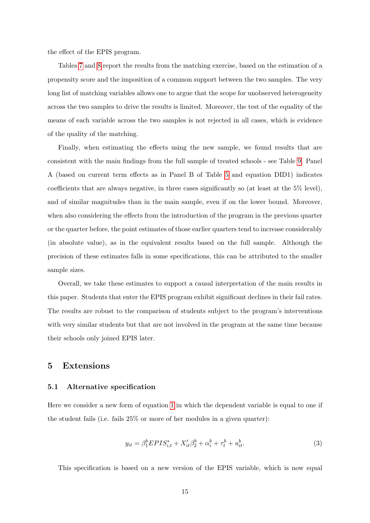the effect of the EPIS program.

Tables [7](#page-31-0) and [8](#page-32-0) report the results from the matching exercise, based on the estimation of a propensity score and the imposition of a common support between the two samples. The very long list of matching variables allows one to argue that the scope for unobserved heterogeneity across the two samples to drive the results is limited. Moreover, the test of the equality of the means of each variable across the two samples is not rejected in all cases, which is evidence of the quality of the matching.

Finally, when estimating the effects using the new sample, we found results that are consistent with the main findings from the full sample of treated schools - see Table [9.](#page-33-0) Panel A (based on current term effects as in Panel B of Table [5](#page-29-0) and equation DID1) indicates coefficients that are always negative, in three cases significantly so (at least at the 5% level), and of similar magnitudes than in the main sample, even if on the lower bound. Moreover, when also considering the effects from the introduction of the program in the previous quarter or the quarter before, the point estimates of those earlier quarters tend to increase considerably (in absolute value), as in the equivalent results based on the full sample. Although the precision of these estimates falls in some specifications, this can be attributed to the smaller sample sizes.

Overall, we take these estimates to support a causal interpretation of the main results in this paper. Students that enter the EPIS program exhibit significant declines in their fail rates. The results are robust to the comparison of students subject to the program's interventions with very similar students but that are not involved in the program at the same time because their schools only joined EPIS later.

# <span id="page-14-0"></span>5 Extensions

#### 5.1 Alternative specification

Here we consider a new form of equation [1](#page-9-2) in which the dependent variable is equal to one if the student fails (i.e. fails 25% or more of her modules in a given quarter):

$$
y_{it} = \beta_1^b EPIS_{i,t}^* + X_{it}'\beta_2^b + \alpha_i^b + \tau_t^b + u_{it}^b.
$$
 (3)

This specification is based on a new version of the EPIS variable, which is now equal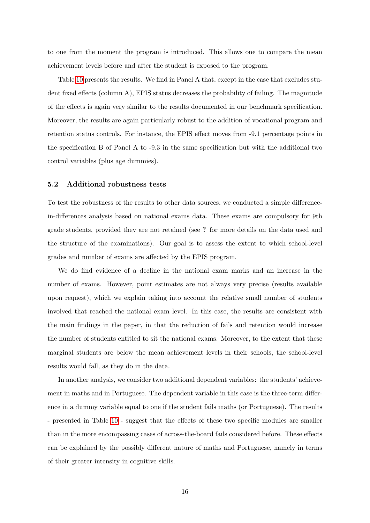to one from the moment the program is introduced. This allows one to compare the mean achievement levels before and after the student is exposed to the program.

Table [10](#page-34-0) presents the results. We find in Panel A that, except in the case that excludes student fixed effects (column A), EPIS status decreases the probability of failing. The magnitude of the effects is again very similar to the results documented in our benchmark specification. Moreover, the results are again particularly robust to the addition of vocational program and retention status controls. For instance, the EPIS effect moves from -9.1 percentage points in the specification B of Panel A to -9.3 in the same specification but with the additional two control variables (plus age dummies).

#### 5.2 Additional robustness tests

To test the robustness of the results to other data sources, we conducted a simple differencein-differences analysis based on national exams data. These exams are compulsory for 9th grade students, provided they are not retained (see ? for more details on the data used and the structure of the examinations). Our goal is to assess the extent to which school-level grades and number of exams are affected by the EPIS program.

We do find evidence of a decline in the national exam marks and an increase in the number of exams. However, point estimates are not always very precise (results available upon request), which we explain taking into account the relative small number of students involved that reached the national exam level. In this case, the results are consistent with the main findings in the paper, in that the reduction of fails and retention would increase the number of students entitled to sit the national exams. Moreover, to the extent that these marginal students are below the mean achievement levels in their schools, the school-level results would fall, as they do in the data.

In another analysis, we consider two additional dependent variables: the students' achievement in maths and in Portuguese. The dependent variable in this case is the three-term difference in a dummy variable equal to one if the student fails maths (or Portuguese). The results - presented in Table [10](#page-34-0) - suggest that the effects of these two specific modules are smaller than in the more encompassing cases of across-the-board fails considered before. These effects can be explained by the possibly different nature of maths and Portuguese, namely in terms of their greater intensity in cognitive skills.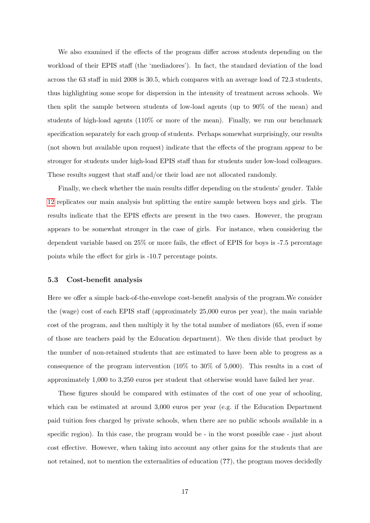We also examined if the effects of the program differ across students depending on the workload of their EPIS staff (the 'mediadores'). In fact, the standard deviation of the load across the 63 staff in mid 2008 is 30.5, which compares with an average load of 72.3 students, thus highlighting some scope for dispersion in the intensity of treatment across schools. We then split the sample between students of low-load agents (up to 90% of the mean) and students of high-load agents (110% or more of the mean). Finally, we run our benchmark specification separately for each group of students. Perhaps somewhat surprisingly, our results (not shown but available upon request) indicate that the effects of the program appear to be stronger for students under high-load EPIS staff than for students under low-load colleagues. These results suggest that staff and/or their load are not allocated randomly.

Finally, we check whether the main results differ depending on the students' gender. Table [12](#page-36-0) replicates our main analysis but splitting the entire sample between boys and girls. The results indicate that the EPIS effects are present in the two cases. However, the program appears to be somewhat stronger in the case of girls. For instance, when considering the dependent variable based on 25% or more fails, the effect of EPIS for boys is -7.5 percentage points while the effect for girls is -10.7 percentage points.

#### 5.3 Cost-benefit analysis

Here we offer a simple back-of-the-envelope cost-benefit analysis of the program.We consider the (wage) cost of each EPIS staff (approximately 25,000 euros per year), the main variable cost of the program, and then multiply it by the total number of mediators (65, even if some of those are teachers paid by the Education department). We then divide that product by the number of non-retained students that are estimated to have been able to progress as a consequence of the program intervention  $(10\%$  to  $30\%$  of 5,000). This results in a cost of approximately 1,000 to 3,250 euros per student that otherwise would have failed her year.

These figures should be compared with estimates of the cost of one year of schooling, which can be estimated at around 3,000 euros per year (e.g. if the Education Department paid tuition fees charged by private schools, when there are no public schools available in a specific region). In this case, the program would be - in the worst possible case - just about cost effective. However, when taking into account any other gains for the students that are not retained, not to mention the externalities of education (??), the program moves decidedly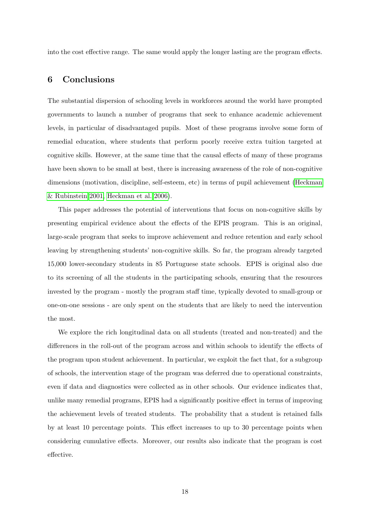into the cost effective range. The same would apply the longer lasting are the program effects.

# <span id="page-17-0"></span>6 Conclusions

The substantial dispersion of schooling levels in workforces around the world have prompted governments to launch a number of programs that seek to enhance academic achievement levels, in particular of disadvantaged pupils. Most of these programs involve some form of remedial education, where students that perform poorly receive extra tuition targeted at cognitive skills. However, at the same time that the causal effects of many of these programs have been shown to be small at best, there is increasing awareness of the role of non-cognitive dimensions (motivation, discipline, self-esteem, etc) in terms of pupil achievement [\(Heckman](#page-18-5) [& Rubinstein 2001,](#page-18-5) [Heckman et al. 2006\)](#page-18-6).

This paper addresses the potential of interventions that focus on non-cognitive skills by presenting empirical evidence about the effects of the EPIS program. This is an original, large-scale program that seeks to improve achievement and reduce retention and early school leaving by strengthening students' non-cognitive skills. So far, the program already targeted 15,000 lower-secondary students in 85 Portuguese state schools. EPIS is original also due to its screening of all the students in the participating schools, ensuring that the resources invested by the program - mostly the program staff time, typically devoted to small-group or one-on-one sessions - are only spent on the students that are likely to need the intervention the most.

We explore the rich longitudinal data on all students (treated and non-treated) and the differences in the roll-out of the program across and within schools to identify the effects of the program upon student achievement. In particular, we exploit the fact that, for a subgroup of schools, the intervention stage of the program was deferred due to operational constraints, even if data and diagnostics were collected as in other schools. Our evidence indicates that, unlike many remedial programs, EPIS had a significantly positive effect in terms of improving the achievement levels of treated students. The probability that a student is retained falls by at least 10 percentage points. This effect increases to up to 30 percentage points when considering cumulative effects. Moreover, our results also indicate that the program is cost effective.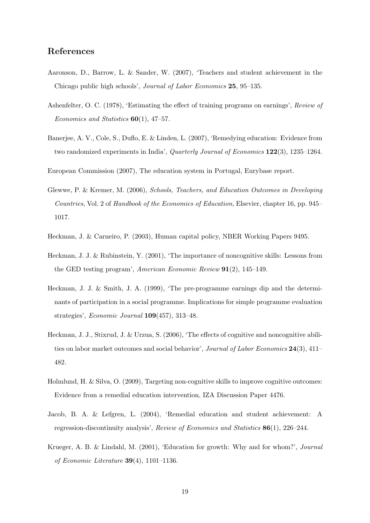# References

- <span id="page-18-7"></span>Aaronson, D., Barrow, L. & Sander, W. (2007), 'Teachers and student achievement in the Chicago public high schools', Journal of Labor Economics 25, 95–135.
- <span id="page-18-10"></span>Ashenfelter, O. C. (1978), 'Estimating the effect of training programs on earnings', Review of Economics and Statistics  $60(1)$ , 47-57.
- <span id="page-18-4"></span>Banerjee, A. V., Cole, S., Duflo, E. & Linden, L. (2007), 'Remedying education: Evidence from two randomized experiments in India', Quarterly Journal of Economics 122(3), 1235–1264.
- <span id="page-18-9"></span>European Commission (2007), The education system in Portugal, Eurybase report.
- <span id="page-18-3"></span>Glewwe, P. & Kremer, M. (2006), Schools, Teachers, and Education Outcomes in Developing Countries, Vol. 2 of Handbook of the Economics of Education, Elsevier, chapter 16, pp. 945– 1017.
- <span id="page-18-1"></span>Heckman, J. & Carneiro, P. (2003), Human capital policy, NBER Working Papers 9495.
- <span id="page-18-5"></span>Heckman, J. J. & Rubinstein, Y. (2001), 'The importance of noncognitive skills: Lessons from the GED testing program', American Economic Review 91(2), 145–149.
- <span id="page-18-11"></span>Heckman, J. J. & Smith, J. A. (1999), 'The pre-programme earnings dip and the determinants of participation in a social programme. Implications for simple programme evaluation strategies', Economic Journal 109(457), 313–48.
- <span id="page-18-6"></span>Heckman, J. J., Stixrud, J. & Urzua, S. (2006), 'The effects of cognitive and noncognitive abilities on labor market outcomes and social behavior', Journal of Labor Economics 24(3), 411– 482.
- <span id="page-18-8"></span>Holmlund, H. & Silva, O. (2009), Targeting non-cognitive skills to improve cognitive outcomes: Evidence from a remedial education intervention, IZA Discussion Paper 4476.
- <span id="page-18-2"></span>Jacob, B. A. & Lefgren, L. (2004), 'Remedial education and student achievement: A regression-discontinuity analysis', Review of Economics and Statistics 86(1), 226–244.
- <span id="page-18-0"></span>Krueger, A. B. & Lindahl, M. (2001), 'Education for growth: Why and for whom?', Journal of Economic Literature  $39(4)$ , 1101-1136.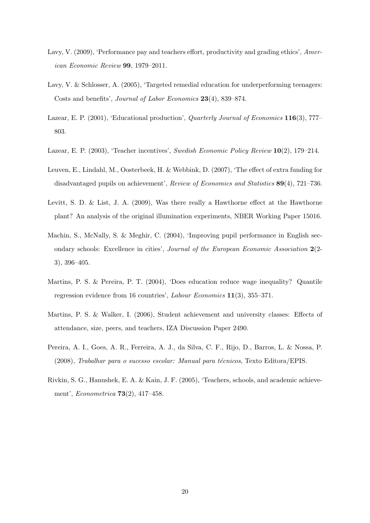- <span id="page-19-5"></span>Lavy, V. (2009), 'Performance pay and teachers effort, productivity and grading ethics', American Economic Review 99, 1979–2011.
- <span id="page-19-2"></span>Lavy, V. & Schlosser, A. (2005), 'Targeted remedial education for underperforming teenagers: Costs and benefits', Journal of Labor Economics 23(4), 839–874.
- <span id="page-19-9"></span>Lazear, E. P. (2001), 'Educational production', *Quarterly Journal of Economics* 116(3), 777– 803.
- <span id="page-19-3"></span>Lazear, E. P. (2003), 'Teacher incentives', Swedish Economic Policy Review 10(2), 179–214.
- <span id="page-19-1"></span>Leuven, E., Lindahl, M., Oosterbeek, H. & Webbink, D. (2007), 'The effect of extra funding for disadvantaged pupils on achievement', Review of Economics and Statistics 89(4), 721–736.
- <span id="page-19-10"></span>Levitt, S. D. & List, J. A. (2009), Was there really a Hawthorne effect at the Hawthorne plant? An analysis of the original illumination experiments, NBER Working Paper 15016.
- <span id="page-19-0"></span>Machin, S., McNally, S. & Meghir, C. (2004), 'Improving pupil performance in English secondary schools: Excellence in cities', Journal of the European Economic Association 2(2- 3), 396–405.
- <span id="page-19-7"></span>Martins, P. S. & Pereira, P. T. (2004), 'Does education reduce wage inequality? Quantile regression evidence from 16 countries', Labour Economics 11(3), 355–371.
- <span id="page-19-6"></span>Martins, P. S. & Walker, I. (2006), Student achievement and university classes: Effects of attendance, size, peers, and teachers, IZA Discussion Paper 2490.
- <span id="page-19-8"></span>Pereira, A. I., Goes, A. R., Ferreira, A. J., da Silva, C. F., Rijo, D., Barros, L. & Nossa, P.  $(2008)$ , Trabalhar para o sucesso escolar: Manual para técnicos, Texto Editora/EPIS.
- <span id="page-19-4"></span>Rivkin, S. G., Hanushek, E. A. & Kain, J. F. (2005), 'Teachers, schools, and academic achievement', Econometrica 73(2), 417–458.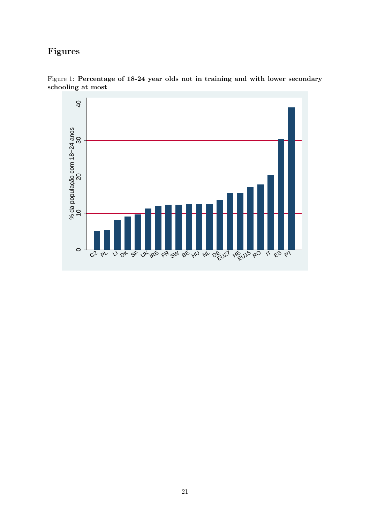# Figures

<span id="page-20-0"></span>

Figure 1: Percentage of 18-24 year olds not in training and with lower secondary schooling at most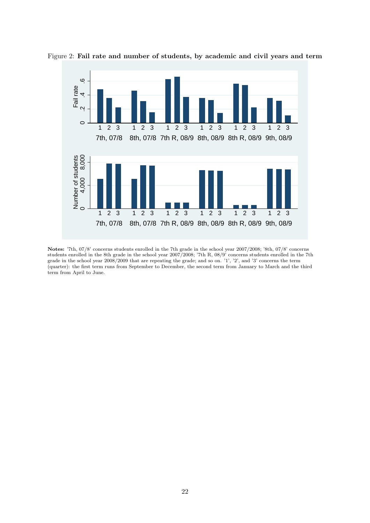<span id="page-21-0"></span>

Figure 2: Fail rate and number of students, by academic and civil years and term

Notes: '7th, 07/8' concerns students enrolled in the 7th grade in the school year 2007/2008; '8th, 07/8' concerns students enrolled in the 8th grade in the school year 2007/2008; '7th R, 08/9' concerns students enrolled in the 7th grade in the school year 2008/2009 that are repeating the grade; and so on. '1', '2', and '3' concerns the term (quarter): the first term runs from September to December, the second term from January to March and the third term from April to June.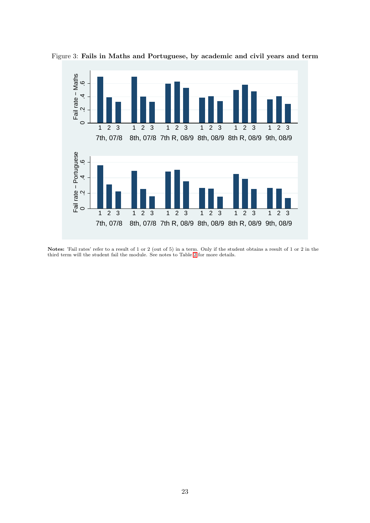<span id="page-22-0"></span>

Figure 3: Fails in Maths and Portuguese, by academic and civil years and term

Notes: 'Fail rates' refer to a result of 1 or 2 (out of 5) in a term. Only if the student obtains a result of 1 or 2 in the third term will the student fail the module. See notes to Table [2](#page-21-0) for more details.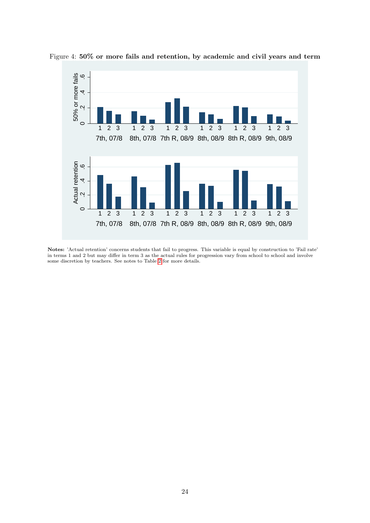<span id="page-23-0"></span>

Figure 4: 50% or more fails and retention, by academic and civil years and term

Notes: 'Actual retention' concerns students that fail to progress. This variable is equal by construction to 'Fail rate' in terms 1 and 2 but may differ in term 3 as the actual rules for progression vary from school to school and involve some discretion by teachers. See notes to Table [2](#page-21-0) for more details.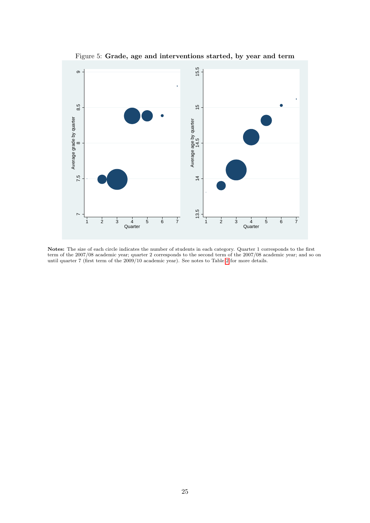

<span id="page-24-0"></span>Figure 5: Grade, age and interventions started, by year and term

Notes: The size of each circle indicates the number of students in each category. Quarter 1 corresponds to the first term of the 2007/08 academic year; quarter 2 corresponds to the second term of the 2007/08 academic year; and so on until quarter 7 (first term of the 2009/10 academic year). See notes to Table [2](#page-21-0) for more details.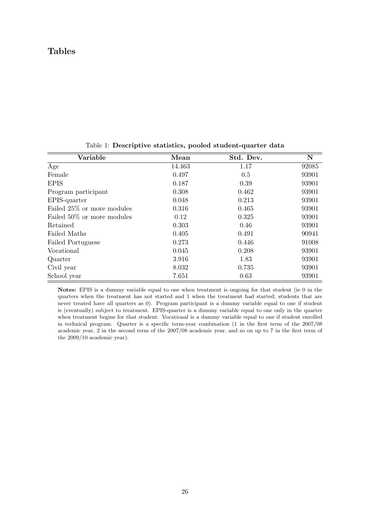# Tables

| Variable                    | Mean   | Std. Dev. | $\mathbf N$ |
|-----------------------------|--------|-----------|-------------|
| Age                         | 14.463 | 1.17      | 92085       |
| Female                      | 0.497  | 0.5       | 93901       |
| <b>EPIS</b>                 | 0.187  | 0.39      | 93901       |
| Program participant         | 0.308  | 0.462     | 93901       |
| EPIS-quarter                | 0.048  | 0.213     | 93901       |
| Failed 25\% or more modules | 0.316  | 0.465     | 93901       |
| Failed 50% or more modules  | 0.12   | 0.325     | 93901       |
| Retained                    | 0.303  | 0.46      | 93901       |
| Failed Maths                | 0.405  | 0.491     | 90941       |
| <b>Failed Portuguese</b>    | 0.273  | 0.446     | 91008       |
| Vocational                  | 0.045  | 0.208     | 93901       |
| Quarter                     | 3.916  | 1.83      | 93901       |
| Civil year                  | 8.032  | 0.735     | 93901       |
| School year                 | 7.651  | 0.63      | 93901       |

<span id="page-25-0"></span>Table 1: Descriptive statistics, pooled student-quarter data

Notes: EPIS is a dummy variable equal to one when treatment is ongoing for that student (ie 0 in the quarters when the treatment has not started and 1 when the treatment had started; students that are never treated have all quarters as 0). Program participant is a dummy variable equal to one if student is (eventually) subject to treatment. EPIS-quarter is a dummy variable equal to one only in the quarter when treatment begins for that student. Vocational is a dummy variable equal to one if student enrolled in technical program. Quarter is a specific term-year combination (1 in the first term of the 2007/08 academic year, 2 in the second term of the 2007/08 academic year, and so on up to 7 in the first term of the 2009/10 academic year).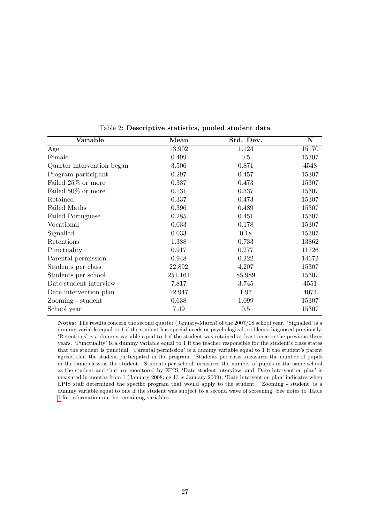| Variable                   | Mean    | Std. Dev. | $\mathbf N$ |
|----------------------------|---------|-----------|-------------|
| Age                        | 13.902  | 1.124     | 15170       |
| Female                     | 0.499   | 0.5       | 15307       |
| Quarter intervention began | 3.506   | 0.871     | 4548        |
| Program participant        | 0.297   | 0.457     | 15307       |
| Failed 25% or more         | 0.337   | 0.473     | 15307       |
| Failed 50% or more         | 0.131   | 0.337     | 15307       |
| Retained                   | 0.337   | 0.473     | 15307       |
| Failed Maths               | 0.396   | 0.489     | 15307       |
| Failed Portuguese          | 0.285   | 0.451     | 15307       |
| Vocational                 | 0.033   | 0.178     | 15307       |
| Signalled                  | 0.033   | 0.18      | 15307       |
| Retentions                 | 1.388   | 0.733     | 13862       |
| Punctuality                | 0.917   | 0.277     | 11726       |
| Parental permission        | 0.948   | 0.222     | 14672       |
| Students per class         | 22.892  | 4.207     | 15307       |
| Students per school        | 251.161 | 85.989    | 15307       |
| Date student interview     | 7.817   | 3.745     | 4551        |
| Date intervention plan     | 12.947  | 1.97      | 4074        |
| Zooming - student          | 0.638   | 1.099     | 15307       |
| School year                | 7.49    | 0.5       | 15307       |

<span id="page-26-0"></span>Table 2: Descriptive statistics, pooled student data

Notes: The results concern the second quarter (January-March) of the 2007/08 school year. 'Signalled' is a dummy variable equal to 1 if the student has special needs or psychological problems diagnosed previously. 'Retentions' is a dummy variable equal to 1 if the student was retained at least once in the previous three years. 'Punctuality' is a dummy variable equal to 1 if the teacher responsible for the student's class states that the student is punctual. 'Parental permission' is a dummy variable equal to 1 if the student's parent agreed that the student participated in the program. 'Students per class' measures the number of pupils in the same class as the student. 'Students per school' measures the number of pupils in the same school as the student and that are monitored by EPIS. 'Date student interview' and 'Date intervention plan' is measured in months from 1 (January 2008; eg 13 is January 2009); 'Date intervention plan' indicates when EPIS staff determined the specific program that would apply to the student. 'Zooming - student' is a dummy variable equal to one if the student was subject to a second wave of screening. See notes to Table [1](#page-25-0) for information on the remaining variables.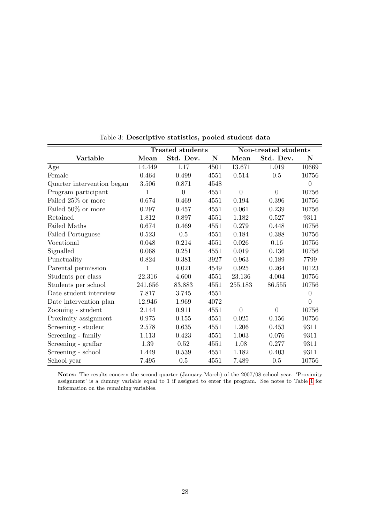|                            |         | <b>Treated students</b> |      | Non-treated students |                |                |
|----------------------------|---------|-------------------------|------|----------------------|----------------|----------------|
| Variable                   | Mean    | Std. Dev.               | N    | Mean                 | Std. Dev.      | N              |
| Age                        | 14.449  | 1.17                    | 4501 | 13.671               | 1.019          | 10669          |
| Female                     | 0.464   | 0.499                   | 4551 | 0.514                | 0.5            | 10756          |
| Quarter intervention began | 3.506   | 0.871                   | 4548 |                      |                | $\theta$       |
| Program participant        | 1       | $\overline{0}$          | 4551 | $\overline{0}$       | $\overline{0}$ | 10756          |
| Failed 25% or more         | 0.674   | 0.469                   | 4551 | 0.194                | 0.396          | 10756          |
| Failed 50% or more         | 0.297   | 0.457                   | 4551 | 0.061                | 0.239          | 10756          |
| Retained                   | 1.812   | 0.897                   | 4551 | 1.182                | 0.527          | 9311           |
| Failed Maths               | 0.674   | 0.469                   | 4551 | 0.279                | 0.448          | 10756          |
| Failed Portuguese          | 0.523   | 0.5                     | 4551 | 0.184                | 0.388          | 10756          |
| Vocational                 | 0.048   | 0.214                   | 4551 | 0.026                | 0.16           | 10756          |
| Signalled                  | 0.068   | 0.251                   | 4551 | 0.019                | 0.136          | 10756          |
| Punctuality                | 0.824   | 0.381                   | 3927 | 0.963                | 0.189          | 7799           |
| Parental permission        | 1       | 0.021                   | 4549 | 0.925                | 0.264          | 10123          |
| Students per class         | 22.316  | 4.600                   | 4551 | 23.136               | 4.004          | 10756          |
| Students per school        | 241.656 | 83.883                  | 4551 | 255.183              | 86.555         | 10756          |
| Date student interview     | 7.817   | 3.745                   | 4551 |                      |                | $\overline{0}$ |
| Date intervention plan     | 12.946  | 1.969                   | 4072 |                      |                | $\theta$       |
| Zooming - student          | 2.144   | 0.911                   | 4551 | $\theta$             | $\theta$       | 10756          |
| Proximity assignment       | 0.975   | 0.155                   | 4551 | 0.025                | 0.156          | 10756          |
| Screening - student        | 2.578   | 0.635                   | 4551 | 1.206                | 0.453          | 9311           |
| Screening - family         | 1.113   | 0.423                   | 4551 | 1.003                | 0.076          | 9311           |
| Screening - graffar        | 1.39    | 0.52                    | 4551 | 1.08                 | 0.277          | 9311           |
| Screening - school         | 1.449   | 0.539                   | 4551 | 1.182                | 0.403          | 9311           |
| School year                | 7.495   | 0.5                     | 4551 | 7.489                | 0.5            | 10756          |

<span id="page-27-0"></span>Table 3: Descriptive statistics, pooled student data

Notes: The results concern the second quarter (January-March) of the 2007/08 school year. 'Proximity assignment' is a dummy variable equal to 1 if assigned to enter the program. See notes to Table [1](#page-25-0) for information on the remaining variables.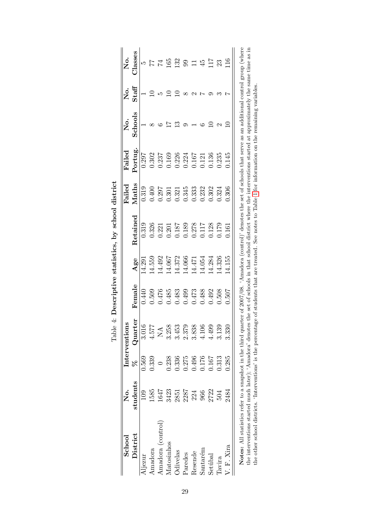<span id="page-28-0"></span>

| $\rm School$                                                                                                                                                                                                                                                                                                                            | .<br>Ž         |       | Interventions                                                  |              |        |          | Failed | $_{\rm Fald}$ | 。<br>No | .<br>Ž | 。<br>No.       |
|-----------------------------------------------------------------------------------------------------------------------------------------------------------------------------------------------------------------------------------------------------------------------------------------------------------------------------------------|----------------|-------|----------------------------------------------------------------|--------------|--------|----------|--------|---------------|---------|--------|----------------|
| District                                                                                                                                                                                                                                                                                                                                | students       | R     | Quarter                                                        | $\rm Female$ | Age    | Retained | Maths  | Portug.       | Schools | Staff  | <b>Jlasses</b> |
| Aljezur                                                                                                                                                                                                                                                                                                                                 | $\frac{10}{2}$ | 0.569 | 3.016                                                          | 0.440        | 14.291 | 0.319    | 0.319  | 0.297         |         |        | ι٥             |
| Amadora                                                                                                                                                                                                                                                                                                                                 | 1585           | 0.339 | 4.577                                                          | 0.509        | 14.559 | 0.326    | 0.400  | 0.302         |         |        |                |
| Amadora (control)                                                                                                                                                                                                                                                                                                                       | 1647           |       | $\mathop{\mathbb{A}}\limits_{{\mathbf{N}}}\mathop{\mathbb{A}}$ | 0.476        | 14.492 | 0.221    | 0.297  | 0.237         |         |        | 74             |
| Matosinhos                                                                                                                                                                                                                                                                                                                              | 3423           | 0.238 | 3.258                                                          | 0.485        | 14.067 | 0.201    | 0.301  | 0.169         |         |        | 65             |
| Odivelas                                                                                                                                                                                                                                                                                                                                | 2851           | 0.336 | 3.453                                                          | 0.483        | 14.372 | 0.187    | 0.321  | 0.226         |         |        | 132            |
| Paredes                                                                                                                                                                                                                                                                                                                                 | 2287           | 0.275 | 2.379                                                          | 0.499        | 14.066 | 0.189    | 0.345  | 0.224         |         |        | ඉ              |
| Resende                                                                                                                                                                                                                                                                                                                                 | 224            | 0.496 | 3.838                                                          | 0.473        | 14.471 | 0.278    | 0.333  | 0.167         |         |        |                |
| Santarém                                                                                                                                                                                                                                                                                                                                | 966            | 0.176 | 4.106                                                          | 0.488        | 14.054 | 117      | 0.232  | 0.121         |         |        | 45             |
| $\rm Set$ ú $\rm bad$                                                                                                                                                                                                                                                                                                                   | 2722           | 0.167 | 4.499                                                          | 0.492        | 14.284 | 0.128    | 0.302  | 0.136         |         |        | 71             |
| Tavira                                                                                                                                                                                                                                                                                                                                  | 504            | 0.313 | 3.139                                                          | 0.508        | 14.326 | 0.179    | 0.324  | 0.235         |         |        | 23             |
| V. F. Xira                                                                                                                                                                                                                                                                                                                              | 2484           | 0.285 | 3.330                                                          | 0.507        | 14.155 | 0.161    | 0.306  | 0.145         |         |        |                |
| Notes: All statistics refer to a snapshot in the third quarter of 2007/08. 'Amadora (control)' denotes the set of schools that serve as an additional control group (where                                                                                                                                                              |                |       |                                                                |              |        |          |        |               |         |        |                |
| the interventions started much later); 'Amadora' denotes the set of schools in that school district where the interventions started at approximately the same time as in<br>the other school districts. 'Interventions' is the percentage of students that are treated. See notes to Table 1 for information on the remaining variables |                |       |                                                                |              |        |          |        |               |         |        |                |

| į<br>I                  |
|-------------------------|
| hv enhon                |
| 2                       |
| ļ<br>ة<br>با            |
| $\frac{1}{2}$<br>í<br>ſ |
| i                       |
| i                       |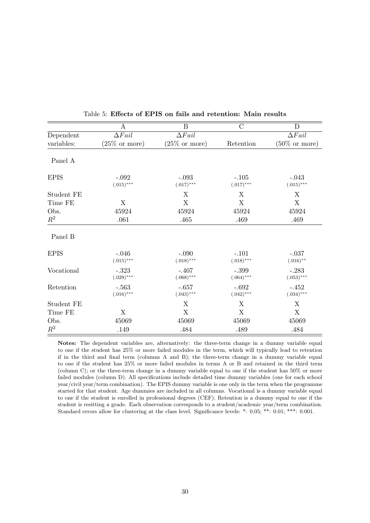|             | A                        | $\overline{B}$           | $\overline{C}$          | D                        |
|-------------|--------------------------|--------------------------|-------------------------|--------------------------|
| Dependent   | $\Delta Fail$            | $\Delta{fail}$           |                         | $\Delta{fail}$           |
| variables:  | $(25\% \text{ or more})$ | $(25\% \text{ or more})$ | Retention               | $(50\% \text{ or more})$ |
| Panel A     |                          |                          |                         |                          |
| <b>EPIS</b> | $-.092$<br>$(.015)$ ***  | $-.093$<br>$(.017)$ ***  | $-.105$<br>$(.017)$ *** | $-.043$<br>$(.015)$ ***  |
| Student FE  |                          | X                        | X                       | X                        |
| Time FE     | X                        | $\mathbf X$              | X                       | X                        |
| Obs.        | 45924                    | 45924                    | 45924                   | 45924                    |
| $R^2$       | .061                     | .465                     | .469                    | .469                     |
| Panel B     |                          |                          |                         |                          |
| <b>EPIS</b> | $-.046$<br>$(.015)***$   | $-.090$<br>$(.018)***$   | $-.101$<br>$(.018)$ *** | $-.037$<br>$(.016)$ **   |
| Vocational  | $-.323$<br>$(.029)$ ***  | $-.407$<br>$(.068)$ ***  | $-.399$<br>$(.064)$ *** | $-.283$<br>$(.053)***$   |
| Retention   | $-.563$<br>$(.016)$ ***  | $-.657$<br>$(.043)$ ***  | $-.692$<br>$(.042)$ *** | $-.452$<br>$(.034)$ ***  |
| Student FE  |                          | X                        | X                       | X                        |
| Time FE     | X                        | X                        | X                       | X                        |
| Obs.        | 45069                    | 45069                    | 45069                   | 45069                    |
| $R^2$       | .149                     | .484                     | .489                    | .484                     |

<span id="page-29-0"></span>Table 5: Effects of EPIS on fails and retention: Main results

Notes: The dependent variables are, alternatively: the three-term change in a dummy variable equal to one if the student has 25% or more failed modules in the term, which will typically lead to retention if in the third and final term (columns A and B); the three-term change in a dummy variable equal to one if the student has 25% or more failed modules in terms A or B and retained in the third term (column C); or the three-term change in a dummy variable equal to one if the student has 50% or more failed modules (column D). All specifications include detailed time dummy variables (one for each school year/civil year/term combination). The EPIS dummy variable is one only in the term when the programme started for that student. Age dummies are included in all columns. Vocational is a dummy variable equal to one if the student is enrolled in professional degrees (CEF). Retention is a dummy equal to one if the student is resitting a grade. Each observation corresponds to a student/academic year/term combination. Standard errors allow for clustering at the class level. Significance levels: \*: 0.05; \*\*: 0.01; \*\*\*: 0.001.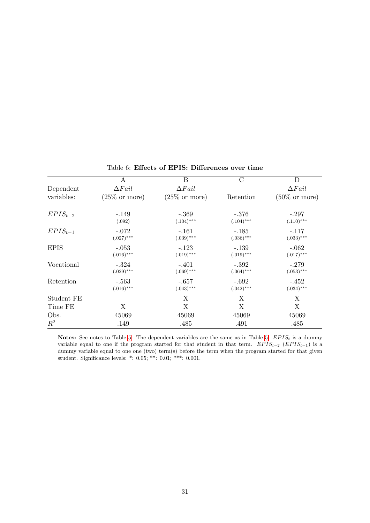|              | А                        | Β                        | C                       | D                        |
|--------------|--------------------------|--------------------------|-------------------------|--------------------------|
| Dependent    | $\Delta$ <i>Fail</i>     | $\Delta$ <i>Fail</i>     |                         | $\Delta$ <i>Fail</i>     |
| variables:   | $(25\% \text{ or more})$ | $(25\% \text{ or more})$ | Retention               | $(50\% \text{ or more})$ |
| $EPIS_{t-2}$ | $-.149$<br>(.092)        | $-.369$<br>$(.104)$ ***  | $-.376$<br>$(.104)$ *** | $-.297$<br>$(.110)$ ***  |
| $EPIS_{t-1}$ | $-.072$<br>$(.027)$ ***  | $-.161$<br>$(.039)$ ***  | $-.185$<br>$(.036)$ *** | $-.117$<br>$(.033)***$   |
| <b>EPIS</b>  | $-.053$<br>$(.016)$ ***  | $-.123$<br>$(.019)$ ***  | $-.139$<br>$(.019)$ *** | $-.062$<br>$(.017)$ ***  |
| Vocational   | $-.324$<br>$(.029)$ ***  | $-.401$<br>$(.069)$ ***  | $-.392$<br>$(.064)$ *** | $-.279$<br>$(.053)$ ***  |
| Retention    | $-.563$<br>$(.016)$ ***  | $-.657$<br>$(.043)$ ***  | $-.692$<br>$(.042)$ *** | $-.452$<br>$(.034)***$   |
| Student FE   |                          | X                        | X                       | X                        |
| Time FE      | X                        | X                        | X                       | X                        |
| Obs.         | 45069                    | 45069                    | 45069                   | 45069                    |
| $R^2$        | .149                     | .485                     | .491                    | .485                     |

<span id="page-30-0"></span>Table 6: Effects of EPIS: Differences over time

Notes: See notes to Table [5.](#page-29-0) The dependent variables are the same as in Table 5.  $EPIS_t$  is a dummy variable equal to one if the program started for that student in that term.  $EPIS_{t-2}$  ( $EPIS_{t-1}$ ) is a dummy variable equal to one one (two) term(s) before the term when the program started for that given student. Significance levels: \*: 0.05; \*\*: 0.01; \*\*\*: 0.001.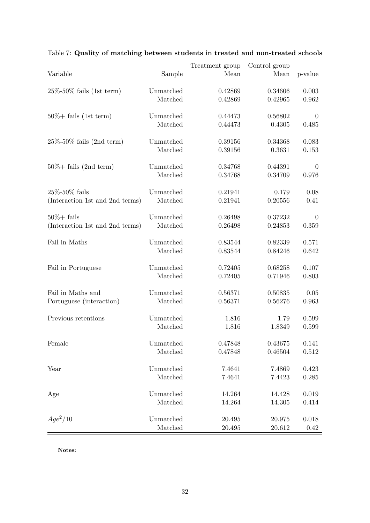|                                  |           | Treatment group | Control group |                |
|----------------------------------|-----------|-----------------|---------------|----------------|
| Variable                         | Sample    | Mean            | Mean          | p-value        |
|                                  |           |                 |               |                |
| $25\% - 50\%$ fails (1st term)   | Unmatched | 0.42869         | 0.34606       | 0.003          |
|                                  | Matched   | 0.42869         | 0.42965       | 0.962          |
| $50\% + \text{fails}$ (1st term) | Unmatched | 0.44473         | 0.56802       | $\overline{0}$ |
|                                  | Matched   | 0.44473         | 0.4305        | 0.485          |
|                                  |           |                 |               |                |
| $25\% - 50\%$ fails (2nd term)   | Unmatched | 0.39156         | 0.34368       | 0.083          |
|                                  | Matched   | 0.39156         | 0.3631        | 0.153          |
| $50\% + \text{fails}$ (2nd term) | Unmatched | 0.34768         | 0.44391       | $\theta$       |
|                                  | Matched   | 0.34768         | 0.34709       | 0.976          |
| $25\% - 50\%$ fails              | Unmatched | 0.21941         | 0.179         | 0.08           |
| (Interaction 1st and 2nd terms)  | Matched   | 0.21941         | 0.20556       | 0.41           |
|                                  |           |                 |               |                |
| $50\% + \text{fails}$            | Unmatched | 0.26498         | 0.37232       | $\theta$       |
| (Interaction 1st and 2nd terms)  | Matched   | 0.26498         | 0.24853       | 0.359          |
| Fail in Maths                    | Unmatched | 0.83544         | 0.82339       | 0.571          |
|                                  | Matched   | 0.83544         | 0.84246       | 0.642          |
|                                  |           |                 |               |                |
| Fail in Portuguese               | Unmatched | 0.72405         | 0.68258       | 0.107          |
|                                  | Matched   | 0.72405         | 0.71946       | 0.803          |
|                                  |           |                 |               |                |
| Fail in Maths and                | Unmatched | 0.56371         | 0.50835       | $0.05\,$       |
| Portuguese (interaction)         | Matched   | 0.56371         | 0.56276       | 0.963          |
| Previous retentions              | Unmatched | 1.816           | 1.79          | 0.599          |
|                                  | Matched   | 1.816           | 1.8349        | 0.599          |
|                                  |           |                 |               |                |
| Female                           | Unmatched | 0.47848         | 0.43675       | 0.141          |
|                                  | Matched   | 0.47848         | 0.46504       | $0.512\,$      |
| Year                             | Unmatched | 7.4641          | 7.4869        | 0.423          |
|                                  | Matched   | 7.4641          | 7.4423        | 0.285          |
|                                  |           |                 |               |                |
| Age                              | Unmatched | 14.264          | 14.428        | 0.019          |
|                                  | Matched   | 14.264          | 14.305        | 0.414          |
|                                  |           |                 |               |                |
| $Age^2/10$                       | Unmatched | 20.495          | 20.975        | 0.018          |
|                                  | Matched   | 20.495          | 20.612        | 0.42           |

<span id="page-31-0"></span>Table 7: Quality of matching between students in treated and non-treated schools

Notes: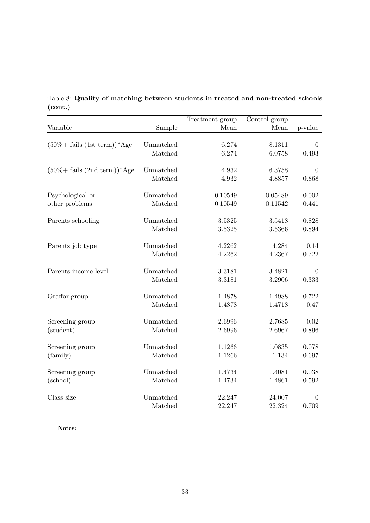|                                                  |                      | Treatment group  | Control group    |                |
|--------------------------------------------------|----------------------|------------------|------------------|----------------|
| Variable                                         | Sample               | Mean             | Mean             | p-value        |
|                                                  |                      |                  |                  |                |
| $(50\% + \text{fails} (\text{1st term}))^*$ Age  | Unmatched            | 6.274            | 8.1311           | $\theta$       |
|                                                  | Matched              | 6.274            | 6.0758           | 0.493          |
| $(50\% + \text{fails} (2nd \text{ term}))^*$ Age | Unmatched            | 4.932            | 6.3758           | $\theta$       |
|                                                  | Matched              | 4.932            | 4.8857           | 0.868          |
| Psychological or                                 | Unmatched            | 0.10549          | 0.05489          | 0.002          |
| other problems                                   | Matched              | 0.10549          | 0.11542          | 0.441          |
|                                                  |                      |                  |                  |                |
| Parents schooling                                | Unmatched            | 3.5325           | 3.5418           | 0.828          |
|                                                  | Matched              | 3.5325           | 3.5366           | 0.894          |
| Parents job type                                 | Unmatched            | 4.2262           | 4.284            | 0.14           |
|                                                  | Matched              | 4.2262           | 4.2367           | 0.722          |
| Parents income level                             | Unmatched            | 3.3181           | 3.4821           | $\theta$       |
|                                                  | Matched              | 3.3181           | 3.2906           | 0.333          |
| Graffar group                                    | Unmatched            | 1.4878           | 1.4988           | 0.722          |
|                                                  | Matched              | 1.4878           | 1.4718           | 0.47           |
|                                                  |                      |                  |                  |                |
| Screening group                                  | Unmatched<br>Matched | 2.6996<br>2.6996 | 2.7685<br>2.6967 | 0.02<br>0.896  |
| (student)                                        |                      |                  |                  |                |
| Screening group                                  | Unmatched            | 1.1266           | 1.0835           | 0.078          |
| (family)                                         | Matched              | 1.1266           | 1.134            | 0.697          |
| Screening group                                  | Unmatched            | 1.4734           | 1.4081           | 0.038          |
| (school)                                         | Matched              | 1.4734           | 1.4861           | 0.592          |
|                                                  |                      |                  |                  |                |
| Class size                                       | Unmatched            | 22.247           | 24.007           | $\overline{0}$ |
|                                                  | Matched              | 22.247           | 22.324           | 0.709          |

<span id="page-32-0"></span>Table 8: Quality of matching between students in treated and non-treated schools (cont.)

Notes: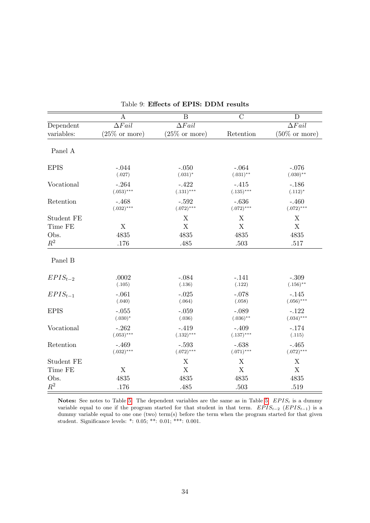|                | $\overline{A}$            | $\overline{\mathrm{B}}$   | $\overline{C}$          | D                        |
|----------------|---------------------------|---------------------------|-------------------------|--------------------------|
| Dependent      | $\Delta$ Fail             | $\Delta Fail$             |                         | $\Delta Fail$            |
| variables:     | $(25\% \text{ or more})$  | $(25\% \text{ or more})$  | Retention               | $(50\% \text{ or more})$ |
| Panel A        |                           |                           |                         |                          |
| <b>EPIS</b>    | $-.044$<br>(.027)         | $-.050$<br>$(.031)^*$     | $-.064$<br>$(.031)$ **  | $-.076$<br>$(.030)$ **   |
| Vocational     | $-.264$<br>$(.053)***$    | $-422$<br>$(.131)$ ***    | $-.415$<br>$(.135)$ *** | $-.186$<br>$(.112)^*$    |
| Retention      | $-.468$<br>$(.032)***$    | $-.592$<br>$(.072)$ ***   | $-.636$<br>$(.072)$ *** | $-.460$<br>$(.072)$ ***  |
| Student FE     |                           | X                         | X                       | X                        |
| Time FE        | $\boldsymbol{\mathrm{X}}$ | $\boldsymbol{\mathrm{X}}$ | $\mathbf X$             | $\mathbf X$              |
| Obs.           | 4835                      | 4835                      | 4835                    | 4835                     |
| $\mathbb{R}^2$ | .176                      | .485                      | .503                    | .517                     |
| Panel B        |                           |                           |                         |                          |
| $EPIS_{t-2}$   | .0002<br>(.105)           | $-.084$<br>(.136)         | $-.141$<br>(.122)       | $-.309$<br>$(.156)$ **   |
| $EPIS_{t-1}$   | $-.061$<br>(.040)         | $-.025$<br>(.064)         | $-.078$<br>(.058)       | $-.145$<br>$(.056)$ ***  |
| <b>EPIS</b>    | $-.055$<br>$(.030)*$      | $-.059$<br>(.036)         | $-.089$<br>$(.036)$ **  | $-.122$<br>$(.034)***$   |
| Vocational     | $-.262$<br>$(.053)***$    | $-.419$<br>$(.132)***$    | $-.409$<br>$(.137)***$  | $-.174$<br>(.115)        |
| Retention      | $-.469$<br>$(.032)$ ***   | $-.593$<br>$(.072)$ ***   | $-.638$<br>$(.071)$ *** | $-.465$<br>$(.072)$ ***  |
| Student FE     |                           | X                         | X                       | X                        |
| Time FE        | X                         | X                         | $\mathbf X$             | X                        |
| Obs.           | 4835                      | 4835                      | 4835                    | 4835                     |
| $R^2$          | .176                      | .485                      | .503                    | .519                     |

<span id="page-33-0"></span>Table 9: Effects of EPIS: DDM results

Notes: See notes to Table [5.](#page-29-0) The dependent variables are the same as in Table 5.  $EPIS<sub>t</sub>$  is a dummy variable equal to one if the program started for that student in that term.  $EPIS_{t-2}$  ( $EPIS_{t-1}$ ) is a dummy variable equal to one one (two) term(s) before the term when the program started for that given student. Significance levels: \*: 0.05; \*\*: 0.01; \*\*\*: 0.001.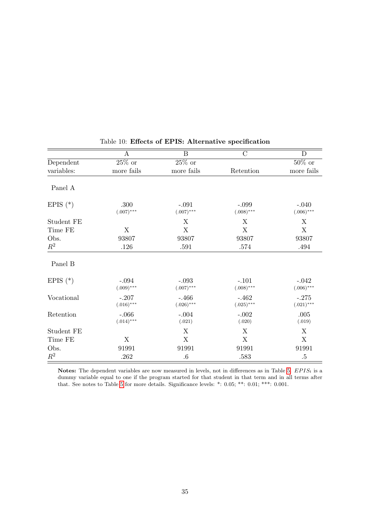|                | $\boldsymbol{A}$         | $\boldsymbol{B}$        | $\mathcal{C}$           | D                       |
|----------------|--------------------------|-------------------------|-------------------------|-------------------------|
| Dependent      | $25\%$ or                | $25\%$ or               |                         | $50\%$ or               |
| variables:     | more fails               | more fails              | Retention               | more fails              |
| Panel A        |                          |                         |                         |                         |
| EPIS $(*)$     | .300<br>$(.007)$ ***     | $-.091$<br>$(.007)$ *** | $-.099$<br>$(.008)$ *** | $-.040$<br>$(.006)$ *** |
| Student FE     |                          | X                       | X                       | X                       |
| Time FE        | X                        | $\mathbf X$             | $\mathbf X$             | $\mathbf X$             |
| Obs.           | 93807                    | 93807                   | 93807                   | 93807                   |
| $\mathbb{R}^2$ | .126                     | .591                    | .574                    | .494                    |
| Panel B        |                          |                         |                         |                         |
| EPIS $(*)$     | $-.094$<br>$(.009)$ ***  | $-.093$<br>$(.007)$ *** | $-.101$<br>$(.008)$ *** | $-.042$<br>$(.006)$ *** |
| Vocational     | $-.207$<br>$(.016)$ ***  | $-.466$<br>$(.026)$ *** | $-.462$<br>$(.025)$ *** | $-.275$<br>$(.021)$ *** |
| Retention      | $-0.066$<br>$(.014)$ *** | $-.004$<br>(.021)       | $-.002$<br>(.020)       | .005<br>(.019)          |
| Student FE     |                          | X                       | X                       | X                       |
| Time FE        | X                        | X                       | X                       | X                       |
| Obs.           | 91991                    | 91991                   | 91991                   | 91991                   |
| $\mathbb{R}^2$ | .262                     | $.6\,$                  | .583                    | $.5\,$                  |

# <span id="page-34-0"></span>Table 10: Effects of EPIS: Alternative specification

Notes: The dependent variables are now measured in levels, not in differences as in Table [5.](#page-29-0)  $EPIS_t$  is a dummy variable equal to one if the program started for that student in that term and in all terms after that. See notes to Table [5](#page-29-0) for more details. Significance levels: \*: 0.05; \*\*: 0.01; \*\*\*: 0.001.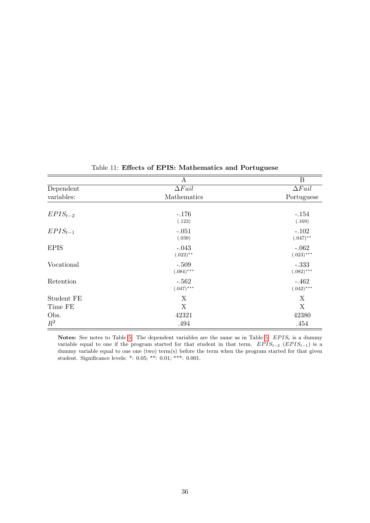|              | A             | B                    |
|--------------|---------------|----------------------|
| Dependent    | $\Delta Fail$ | $\Delta$ <i>Fail</i> |
| variables:   | Mathematics   | Portuguese           |
|              |               |                      |
| $EPIS_{t-2}$ | $-.176$       | $-.154$              |
|              | (.123)        | (.169)               |
| $EPIS_{t-1}$ | $-.051$       | $-.102$              |
|              | (.039)        | $(.047)$ **          |
| <b>EPIS</b>  | $-.043$       | $-.062$              |
|              | $(.022)$ **   | $(.023)***$          |
| Vocational   | $-.509$       | $-.333$              |
|              | $(.084)$ ***  | $(.082)$ ***         |
| Retention    | $-.562$       | $-.462$              |
|              | $(.047)$ ***  | $(.042)***$          |
| Student FE   | X             | X                    |
| Time FE      | X             | X                    |
| Obs.         | 42321         | 42380                |
| $R^2$        | .494          | .454                 |

# Table 11: Effects of EPIS: Mathematics and Portuguese

Notes: See notes to Table [5.](#page-29-0) The dependent variables are the same as in Table 5.  $EPIS_t$  is a dummy variable equal to one if the program started for that student in that term.  $EPIS_{t-2}$  ( $EPIS_{t-1}$ ) is a dummy variable equal to one one (two) term(s) before the term when the program started for that given student. Significance levels: \*: 0.05; \*\*: 0.01; \*\*\*: 0.001.